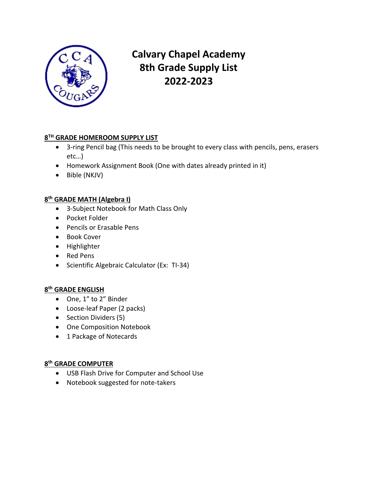

# **Calvary Chapel Academy 8th Grade Supply List 2022-2023**

## **8 TH GRADE HOMEROOM SUPPLY LIST**

- 3-ring Pencil bag (This needs to be brought to every class with pencils, pens, erasers etc…)
- Homework Assignment Book (One with dates already printed in it)
- Bible (NKJV)

## **8 th GRADE MATH (Algebra I)**

- 3-Subject Notebook for Math Class Only
- Pocket Folder
- Pencils or Erasable Pens
- Book Cover
- Highlighter
- Red Pens
- Scientific Algebraic Calculator (Ex: TI-34)

## **8 th GRADE ENGLISH**

- One, 1" to 2" Binder
- Loose-leaf Paper (2 packs)
- Section Dividers (5)
- One Composition Notebook
- 1 Package of Notecards

## **8 th GRADE COMPUTER**

- USB Flash Drive for Computer and School Use
- Notebook suggested for note-takers